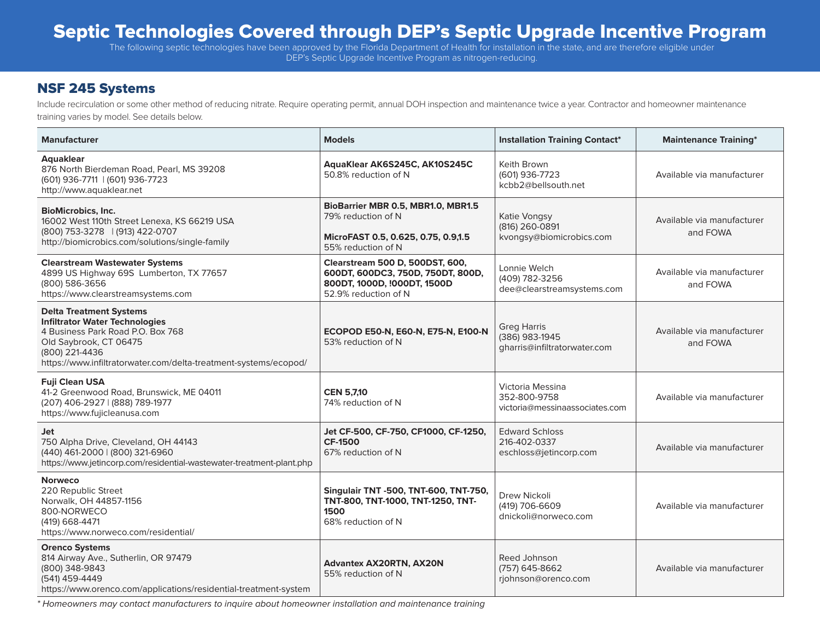# Septic Technologies Covered through DEP's Septic Upgrade Incentive Program

The following septic technologies have been approved by the Florida Department of Health for installation in the state, and are therefore eligible under DEP's Septic Upgrade Incentive Program as nitrogen-reducing.

#### NSF 245 Systems

Include recirculation or some other method of reducing nitrate. Require operating permit, annual DOH inspection and maintenance twice a year. Contractor and homeowner maintenance training varies by model. See details below.

| <b>Manufacturer</b>                                                                                                                                                                                                          | <b>Models</b>                                                                                                               | <b>Installation Training Contact*</b>                                | <b>Maintenance Training*</b>           |
|------------------------------------------------------------------------------------------------------------------------------------------------------------------------------------------------------------------------------|-----------------------------------------------------------------------------------------------------------------------------|----------------------------------------------------------------------|----------------------------------------|
| Aquaklear<br>876 North Bierdeman Road, Pearl, MS 39208<br>(601) 936-7711   (601) 936-7723<br>http://www.aquaklear.net                                                                                                        | AquaKlear AK6S245C, AK10S245C<br>50.8% reduction of N                                                                       | Keith Brown<br>(601) 936-7723<br>kcbb2@bellsouth.net                 | Available via manufacturer             |
| <b>BioMicrobics, Inc.</b><br>16002 West 110th Street Lenexa, KS 66219 USA<br>(800) 753-3278   (913) 422-0707<br>http://biomicrobics.com/solutions/single-family                                                              | BioBarrier MBR 0.5, MBR1.0, MBR1.5<br>79% reduction of N<br>MicroFAST 0.5, 0.625, 0.75, 0.9,1.5<br>55% reduction of N       | Katie Vongsy<br>(816) 260-0891<br>kvongsy@biomicrobics.com           | Available via manufacturer<br>and FOWA |
| <b>Clearstream Wastewater Systems</b><br>4899 US Highway 69S Lumberton, TX 77657<br>(800) 586-3656<br>https://www.clearstreamsystems.com                                                                                     | Clearstream 500 D, 500DST, 600,<br>600DT, 600DC3, 750D, 750DT, 800D,<br>800DT, 1000D, !000DT, 1500D<br>52.9% reduction of N | Lonnie Welch<br>(409) 782-3256<br>dee@clearstreamsystems.com         | Available via manufacturer<br>and FOWA |
| <b>Delta Treatment Systems</b><br><b>Infiltrator Water Technologies</b><br>4 Business Park Road P.O. Box 768<br>Old Saybrook, CT 06475<br>(800) 221-4436<br>https://www.infiltratorwater.com/delta-treatment-systems/ecopod/ | ECOPOD E50-N, E60-N, E75-N, E100-N<br>53% reduction of N                                                                    | <b>Greg Harris</b><br>(386) 983-1945<br>gharris@infiltratorwater.com | Available via manufacturer<br>and FOWA |
| <b>Fuji Clean USA</b><br>41-2 Greenwood Road, Brunswick, ME 04011<br>(207) 406-2927   (888) 789-1977<br>https://www.fujicleanusa.com                                                                                         | <b>CEN 5,7,10</b><br>74% reduction of N                                                                                     | Victoria Messina<br>352-800-9758<br>victoria@messinaassociates.com   | Available via manufacturer             |
| Jet<br>750 Alpha Drive, Cleveland, OH 44143<br>(440) 461-2000   (800) 321-6960<br>https://www.jetincorp.com/residential-wastewater-treatment-plant.php                                                                       | Jet CF-500, CF-750, CF1000, CF-1250,<br><b>CF-1500</b><br>67% reduction of N                                                | <b>Edward Schloss</b><br>216-402-0337<br>eschloss@jetincorp.com      | Available via manufacturer             |
| <b>Norweco</b><br>220 Republic Street<br>Norwalk, OH 44857-1156<br>800-NORWECO<br>(419) 668-4471<br>https://www.norweco.com/residential/                                                                                     | Singulair TNT -500, TNT-600, TNT-750,<br>TNT-800, TNT-1000, TNT-1250, TNT-<br>1500<br>68% reduction of N                    | Drew Nickoli<br>(419) 706-6609<br>dnickoli@norweco.com               | Available via manufacturer             |
| <b>Orenco Systems</b><br>814 Airway Ave., Sutherlin, OR 97479<br>(800) 348-9843<br>(541) 459-4449<br>https://www.orenco.com/applications/residential-treatment-system                                                        | <b>Advantex AX20RTN, AX20N</b><br>55% reduction of N                                                                        | Reed Johnson<br>(757) 645-8662<br>rjohnson@orenco.com                | Available via manufacturer             |

*\* Homeowners may contact manufacturers to inquire about homeowner installation and maintenance training*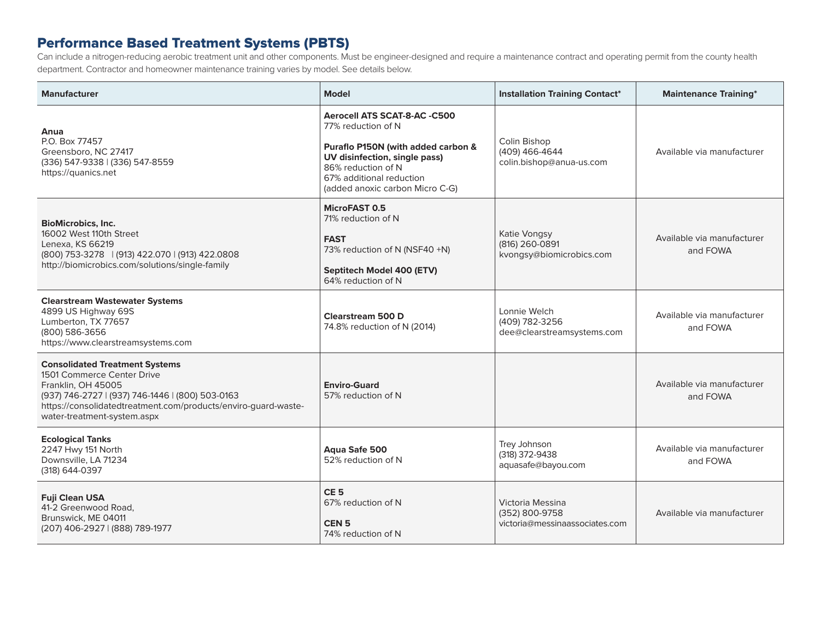### Performance Based Treatment Systems (PBTS)

Can include a nitrogen-reducing aerobic treatment unit and other components. Must be engineer-designed and require a maintenance contract and operating permit from the county health department. Contractor and homeowner maintenance training varies by model. See details below.

| <b>Manufacturer</b>                                                                                                                                                                                                                            | <b>Model</b>                                                                                                                                                                                                   | <b>Installation Training Contact*</b>                                | <b>Maintenance Training*</b>           |
|------------------------------------------------------------------------------------------------------------------------------------------------------------------------------------------------------------------------------------------------|----------------------------------------------------------------------------------------------------------------------------------------------------------------------------------------------------------------|----------------------------------------------------------------------|----------------------------------------|
| Anua<br>P.O. Box 77457<br>Greensboro, NC 27417<br>(336) 547-9338   (336) 547-8559<br>https://quanics.net                                                                                                                                       | Aerocell ATS SCAT-8-AC -C500<br>77% reduction of N<br>Puraflo P150N (with added carbon &<br>UV disinfection, single pass)<br>86% reduction of N<br>67% additional reduction<br>(added anoxic carbon Micro C-G) | Colin Bishop<br>(409) 466-4644<br>colin.bishop@anua-us.com           | Available via manufacturer             |
| <b>BioMicrobics, Inc.</b><br>16002 West 110th Street<br>Lenexa, KS 66219<br>(800) 753-3278   (913) 422.070   (913) 422.0808<br>http://biomicrobics.com/solutions/single-family                                                                 | MicroFAST 0.5<br>71% reduction of N<br><b>FAST</b><br>73% reduction of N (NSF40 +N)<br>Septitech Model 400 (ETV)<br>64% reduction of N                                                                         | Katie Vongsy<br>(816) 260-0891<br>kvongsy@biomicrobics.com           | Available via manufacturer<br>and FOWA |
| <b>Clearstream Wastewater Systems</b><br>4899 US Highway 69S<br>Lumberton, TX 77657<br>(800) 586-3656<br>https://www.clearstreamsystems.com                                                                                                    | <b>Clearstream 500 D</b><br>74.8% reduction of N (2014)                                                                                                                                                        | Lonnie Welch<br>(409) 782-3256<br>dee@clearstreamsystems.com         | Available via manufacturer<br>and FOWA |
| <b>Consolidated Treatment Systems</b><br>1501 Commerce Center Drive<br>Franklin, OH 45005<br>(937) 746-2727   (937) 746-1446   (800) 503-0163<br>https://consolidatedtreatment.com/products/enviro-guard-waste-<br>water-treatment-system.aspx | <b>Enviro-Guard</b><br>57% reduction of N                                                                                                                                                                      |                                                                      | Available via manufacturer<br>and FOWA |
| <b>Ecological Tanks</b><br>2247 Hwy 151 North<br>Downsville, LA 71234<br>(318) 644-0397                                                                                                                                                        | Aqua Safe 500<br>52% reduction of N                                                                                                                                                                            | Trey Johnson<br>(318) 372-9438<br>aquasafe@bayou.com                 | Available via manufacturer<br>and FOWA |
| <b>Fuji Clean USA</b><br>41-2 Greenwood Road,<br>Brunswick, ME 04011<br>(207) 406-2927   (888) 789-1977                                                                                                                                        | CE <sub>5</sub><br>67% reduction of N<br>CEN <sub>5</sub><br>74% reduction of N                                                                                                                                | Victoria Messina<br>(352) 800-9758<br>victoria@messinaassociates.com | Available via manufacturer             |